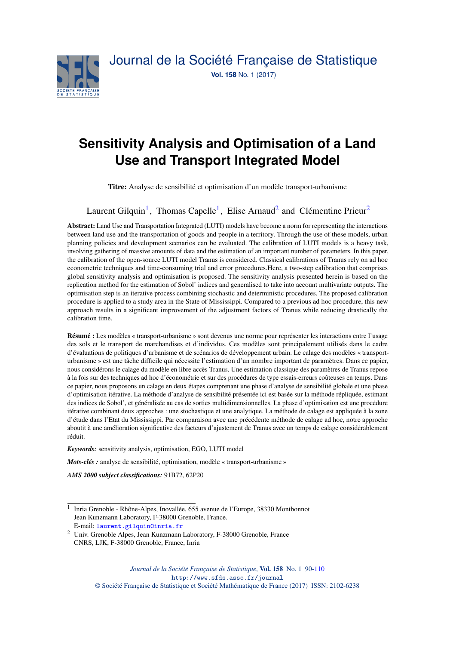

# **Sensitivity Analysis and Optimisation of a Land Use and Transport Integrated Model**

Titre: Analyse de sensibilité et optimisation d'un modèle transport-urbanisme

Laurent Gilquin<sup>[1](#page-0-0)</sup>, Thomas Capelle<sup>1</sup>, Elise Arnaud<sup>[2](#page-0-1)</sup> and Clémentine Prieur<sup>2</sup>

Abstract: Land Use and Transportation Integrated (LUTI) models have become a norm for representing the interactions between land use and the transportation of goods and people in a territory. Through the use of these models, urban planning policies and development scenarios can be evaluated. The calibration of LUTI models is a heavy task, involving gathering of massive amounts of data and the estimation of an important number of parameters. In this paper, the calibration of the open-source LUTI model Tranus is considered. Classical calibrations of Tranus rely on ad hoc econometric techniques and time-consuming trial and error procedures.Here, a two-step calibration that comprises global sensitivity analysis and optimisation is proposed. The sensitivity analysis presented herein is based on the replication method for the estimation of Sobol' indices and generalised to take into account multivariate outputs. The optimisation step is an iterative process combining stochastic and deterministic procedures. The proposed calibration procedure is applied to a study area in the State of Mississippi. Compared to a previous ad hoc procedure, this new approach results in a significant improvement of the adjustment factors of Tranus while reducing drastically the calibration time.

Résumé : Les modèles « transport-urbanisme » sont devenus une norme pour représenter les interactions entre l'usage des sols et le transport de marchandises et d'individus. Ces modèles sont principalement utilisés dans le cadre d'évaluations de politiques d'urbanisme et de scénarios de développement urbain. Le calage des modèles « transporturbanisme » est une tâche difficile qui nécessite l'estimation d'un nombre important de paramètres. Dans ce papier, nous considérons le calage du modèle en libre accès Tranus. Une estimation classique des paramètres de Tranus repose à la fois sur des techniques ad hoc d'économétrie et sur des procédures de type essais-erreurs coûteuses en temps. Dans ce papier, nous proposons un calage en deux étapes comprenant une phase d'analyse de sensibilité globale et une phase d'optimisation itérative. La méthode d'analyse de sensibilité présentée ici est basée sur la méthode répliquée, estimant des indices de Sobol', et généralisée au cas de sorties multidimensionnelles. La phase d'optimisation est une procédure itérative combinant deux approches : une stochastique et une analytique. La méthode de calage est appliquée à la zone d'étude dans l'Etat du Mississippi. Par comparaison avec une précédente méthode de calage ad hoc, notre approche aboutit à une amélioration significative des facteurs d'ajustement de Tranus avec un temps de calage considérablement réduit.

*Keywords:* sensitivity analysis, optimisation, EGO, LUTI model

*Mots-clés :* analyse de sensibilité, optimisation, modèle « transport-urbanisme »

*AMS 2000 subject classifications:* 91B72, 62P20

<span id="page-0-1"></span><sup>2</sup> Univ. Grenoble Alpes, Jean Kunzmann Laboratory, F-38000 Grenoble, France CNRS, LJK, F-38000 Grenoble, France, Inria

<span id="page-0-0"></span><sup>&</sup>lt;sup>1</sup> Inria Grenoble - Rhône-Alpes, Inovallée, 655 avenue de l'Europe, 38330 Montbonnot Jean Kunzmann Laboratory, F-38000 Grenoble, France. E-mail: [laurent.gilquin@inria.fr](mailto:laurent.gilquin@inria.fr)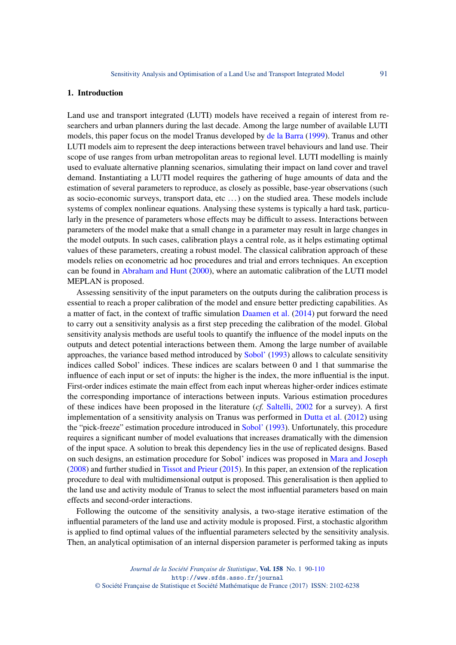## 1. Introduction

Land use and transport integrated (LUTI) models have received a regain of interest from researchers and urban planners during the last decade. Among the large number of available LUTI models, this paper focus on the model Tranus developed by [de la Barra](#page-18-0) [\(1999\)](#page-18-0). Tranus and other LUTI models aim to represent the deep interactions between travel behaviours and land use. Their scope of use ranges from urban metropolitan areas to regional level. LUTI modelling is mainly used to evaluate alternative planning scenarios, simulating their impact on land cover and travel demand. Instantiating a LUTI model requires the gathering of huge amounts of data and the estimation of several parameters to reproduce, as closely as possible, base-year observations (such as socio-economic surveys, transport data, etc ...) on the studied area. These models include systems of complex nonlinear equations. Analysing these systems is typically a hard task, particularly in the presence of parameters whose effects may be difficult to assess. Interactions between parameters of the model make that a small change in a parameter may result in large changes in the model outputs. In such cases, calibration plays a central role, as it helps estimating optimal values of these parameters, creating a robust model. The classical calibration approach of these models relies on econometric ad hoc procedures and trial and errors techniques. An exception can be found in [Abraham and Hunt](#page-18-1) [\(2000\)](#page-18-1), where an automatic calibration of the LUTI model MEPLAN is proposed.

Assessing sensitivity of the input parameters on the outputs during the calibration process is essential to reach a proper calibration of the model and ensure better predicting capabilities. As a matter of fact, in the context of traffic simulation [Daamen et al.](#page-18-2) [\(2014\)](#page-18-2) put forward the need to carry out a sensitivity analysis as a first step preceding the calibration of the model. Global sensitivity analysis methods are useful tools to quantify the influence of the model inputs on the outputs and detect potential interactions between them. Among the large number of available approaches, the variance based method introduced by [Sobol'](#page-19-0) [\(1993\)](#page-19-0) allows to calculate sensitivity indices called Sobol' indices. These indices are scalars between 0 and 1 that summarise the influence of each input or set of inputs: the higher is the index, the more influential is the input. First-order indices estimate the main effect from each input whereas higher-order indices estimate the corresponding importance of interactions between inputs. Various estimation procedures of these indices have been proposed in the literature (*cf.* [Saltelli,](#page-18-3) [2002](#page-18-3) for a survey). A first implementation of a sensitivity analysis on Tranus was performed in [Dutta et al.](#page-18-4) [\(2012\)](#page-18-4) using the "pick-freeze" estimation procedure introduced in [Sobol'](#page-19-0) [\(1993\)](#page-19-0). Unfortunately, this procedure requires a significant number of model evaluations that increases dramatically with the dimension of the input space. A solution to break this dependency lies in the use of replicated designs. Based on such designs, an estimation procedure for Sobol' indices was proposed in [Mara and Joseph](#page-18-5) [\(2008\)](#page-18-5) and further studied in [Tissot and Prieur](#page-19-1) [\(2015\)](#page-19-1). In this paper, an extension of the replication procedure to deal with multidimensional output is proposed. This generalisation is then applied to the land use and activity module of Tranus to select the most influential parameters based on main effects and second-order interactions.

Following the outcome of the sensitivity analysis, a two-stage iterative estimation of the influential parameters of the land use and activity module is proposed. First, a stochastic algorithm is applied to find optimal values of the influential parameters selected by the sensitivity analysis. Then, an analytical optimisation of an internal dispersion parameter is performed taking as inputs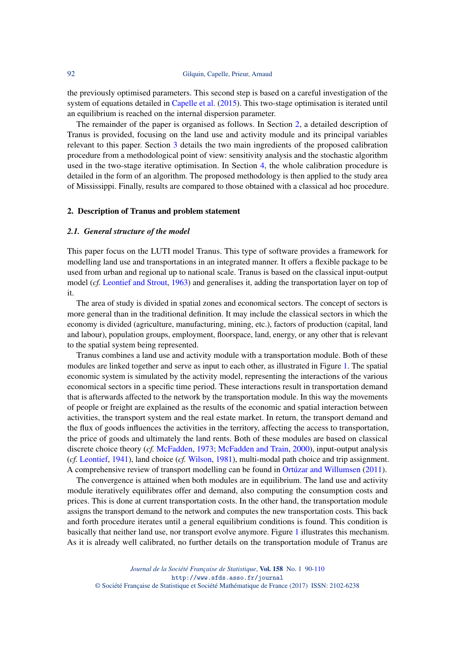the previously optimised parameters. This second step is based on a careful investigation of the system of equations detailed in [Capelle et al.](#page-18-6) [\(2015\)](#page-18-6). This two-stage optimisation is iterated until an equilibrium is reached on the internal dispersion parameter.

The remainder of the paper is organised as follows. In Section [2,](#page-2-0) a detailed description of Tranus is provided, focusing on the land use and activity module and its principal variables relevant to this paper. Section [3](#page-6-0) details the two main ingredients of the proposed calibration procedure from a methodological point of view: sensitivity analysis and the stochastic algorithm used in the two-stage iterative optimisation. In Section [4,](#page-10-0) the whole calibration procedure is detailed in the form of an algorithm. The proposed methodology is then applied to the study area of Mississippi. Finally, results are compared to those obtained with a classical ad hoc procedure.

#### <span id="page-2-0"></span>2. Description of Tranus and problem statement

## *2.1. General structure of the model*

This paper focus on the LUTI model Tranus. This type of software provides a framework for modelling land use and transportations in an integrated manner. It offers a flexible package to be used from urban and regional up to national scale. Tranus is based on the classical input-output model (*cf.* [Leontief and Strout,](#page-18-7) [1963\)](#page-18-7) and generalises it, adding the transportation layer on top of it.

The area of study is divided in spatial zones and economical sectors. The concept of sectors is more general than in the traditional definition. It may include the classical sectors in which the economy is divided (agriculture, manufacturing, mining, etc.), factors of production (capital, land and labour), population groups, employment, floorspace, land, energy, or any other that is relevant to the spatial system being represented.

Tranus combines a land use and activity module with a transportation module. Both of these modules are linked together and serve as input to each other, as illustrated in Figure [1.](#page-3-0) The spatial economic system is simulated by the activity model, representing the interactions of the various economical sectors in a specific time period. These interactions result in transportation demand that is afterwards affected to the network by the transportation module. In this way the movements of people or freight are explained as the results of the economic and spatial interaction between activities, the transport system and the real estate market. In return, the transport demand and the flux of goods influences the activities in the territory, affecting the access to transportation, the price of goods and ultimately the land rents. Both of these modules are based on classical discrete choice theory (*cf.* [McFadden,](#page-18-8) [1973;](#page-18-8) [McFadden and Train,](#page-18-9) [2000\)](#page-18-9), input-output analysis (*cf.* [Leontief,](#page-18-10) [1941\)](#page-18-10), land choice (*cf.* [Wilson,](#page-19-2) [1981\)](#page-19-2), multi-modal path choice and trip assignment. A comprehensive review of transport modelling can be found in [Ortúzar and Willumsen](#page-18-11) [\(2011\)](#page-18-11).

The convergence is attained when both modules are in equilibrium. The land use and activity module iteratively equilibrates offer and demand, also computing the consumption costs and prices. This is done at current transportation costs. In the other hand, the transportation module assigns the transport demand to the network and computes the new transportation costs. This back and forth procedure iterates until a general equilibrium conditions is found. This condition is basically that neither land use, nor transport evolve anymore. Figure [1](#page-3-0) illustrates this mechanism. As it is already well calibrated, no further details on the transportation module of Tranus are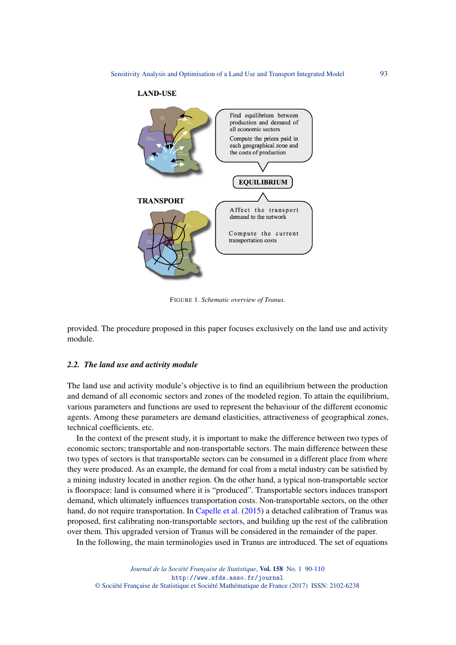

<span id="page-3-0"></span>FIGURE 1*. Schematic overview of Tranus.*

provided. The procedure proposed in this paper focuses exclusively on the land use and activity module.

### *2.2. The land use and activity module*

The land use and activity module's objective is to find an equilibrium between the production and demand of all economic sectors and zones of the modeled region. To attain the equilibrium, various parameters and functions are used to represent the behaviour of the different economic agents. Among these parameters are demand elasticities, attractiveness of geographical zones, technical coefficients, etc.

In the context of the present study, it is important to make the difference between two types of economic sectors; transportable and non-transportable sectors. The main difference between these two types of sectors is that transportable sectors can be consumed in a different place from where they were produced. As an example, the demand for coal from a metal industry can be satisfied by a mining industry located in another region. On the other hand, a typical non-transportable sector is floorspace: land is consumed where it is "produced". Transportable sectors induces transport demand, which ultimately influences transportation costs. Non-transportable sectors, on the other hand, do not require transportation. In [Capelle et al.](#page-18-6) [\(2015\)](#page-18-6) a detached calibration of Tranus was proposed, first calibrating non-transportable sectors, and building up the rest of the calibration over them. This upgraded version of Tranus will be considered in the remainder of the paper.

In the following, the main terminologies used in Tranus are introduced. The set of equations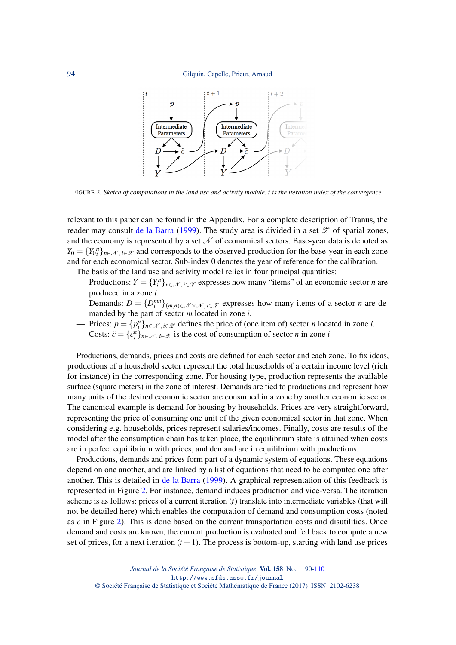<span id="page-4-0"></span>

FIGURE 2*. Sketch of computations in the land use and activity module. t is the iteration index of the convergence.*

relevant to this paper can be found in the Appendix. For a complete description of Tranus, the reader may consult [de la Barra](#page-18-0) [\(1999\)](#page-18-0). The study area is divided in a set  $\mathscr Z$  of spatial zones, and the economy is represented by a set  $\mathcal N$  of economical sectors. Base-year data is denoted as  $Y_0 = \{Y_0^n\}_{n \in \mathcal{N}, i \in \mathcal{Z}}$  and corresponds to the observed production for the base-year in each zone and for each economical sector. Sub-index 0 denotes the year of reference for the calibration.

The basis of the land use and activity model relies in four principal quantities:

- Productions:  $Y = \{Y_i^n\}_{n \in \mathcal{N}, i \in \mathcal{Z}}$  expresses how many "items" of an economic sector *n* are produced in a zone *i*.
- Demands:  $D = \{D_i^{mn}\}_{(m,n)\in\mathcal{N}\times\mathcal{N}, i\in\mathcal{Z}}$  expresses how many items of a sector *n* are demanded by the part of sector *m* located in zone *i*.
- *→* Prices:  $p = \{p_i^n\}_{n \in \mathcal{N}, i \in \mathcal{Z}}$  defines the price of (one item of) sector *n* located in zone *i*.
- Costs:  $\tilde{c} = \{\tilde{c}_i^n\}_{n \in \mathcal{N}, i \in \mathcal{Z}}$  is the cost of consumption of sector *n* in zone *i*

Productions, demands, prices and costs are defined for each sector and each zone. To fix ideas, productions of a household sector represent the total households of a certain income level (rich for instance) in the corresponding zone. For housing type, production represents the available surface (square meters) in the zone of interest. Demands are tied to productions and represent how many units of the desired economic sector are consumed in a zone by another economic sector. The canonical example is demand for housing by households. Prices are very straightforward, representing the price of consuming one unit of the given economical sector in that zone. When considering e.g. households, prices represent salaries/incomes. Finally, costs are results of the model after the consumption chain has taken place, the equilibrium state is attained when costs are in perfect equilibrium with prices, and demand are in equilibrium with productions.

Productions, demands and prices form part of a dynamic system of equations. These equations depend on one another, and are linked by a list of equations that need to be computed one after another. This is detailed in [de la Barra](#page-18-0) [\(1999\)](#page-18-0). A graphical representation of this feedback is represented in Figure [2.](#page-4-0) For instance, demand induces production and vice-versa. The iteration scheme is as follows: prices of a current iteration (*t*) translate into intermediate variables (that will not be detailed here) which enables the computation of demand and consumption costs (noted as *c* in Figure [2\)](#page-4-0). This is done based on the current transportation costs and disutilities. Once demand and costs are known, the current production is evaluated and fed back to compute a new set of prices, for a next iteration  $(t + 1)$ . The process is bottom-up, starting with land use prices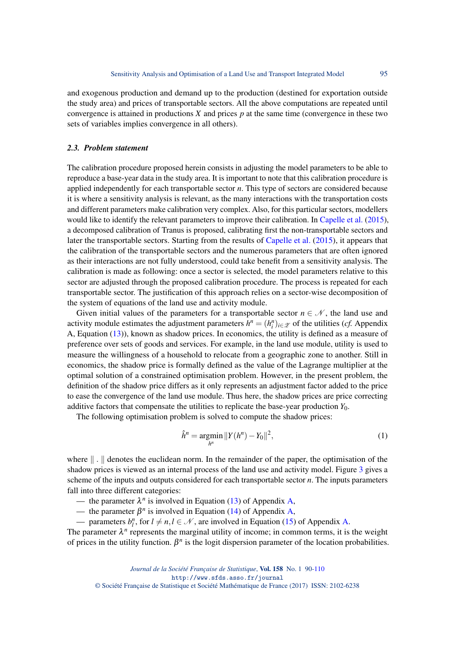and exogenous production and demand up to the production (destined for exportation outside the study area) and prices of transportable sectors. All the above computations are repeated until convergence is attained in productions *X* and prices *p* at the same time (convergence in these two sets of variables implies convergence in all others).

## <span id="page-5-0"></span>*2.3. Problem statement*

The calibration procedure proposed herein consists in adjusting the model parameters to be able to reproduce a base-year data in the study area. It is important to note that this calibration procedure is applied independently for each transportable sector *n*. This type of sectors are considered because it is where a sensitivity analysis is relevant, as the many interactions with the transportation costs and different parameters make calibration very complex. Also, for this particular sectors, modellers would like to identify the relevant parameters to improve their calibration. In [Capelle et al.](#page-18-6) [\(2015\)](#page-18-6), a decomposed calibration of Tranus is proposed, calibrating first the non-transportable sectors and later the transportable sectors. Starting from the results of [Capelle et al.](#page-18-6) [\(2015\)](#page-18-6), it appears that the calibration of the transportable sectors and the numerous parameters that are often ignored as their interactions are not fully understood, could take benefit from a sensitivity analysis. The calibration is made as following: once a sector is selected, the model parameters relative to this sector are adjusted through the proposed calibration procedure. The process is repeated for each transportable sector. The justification of this approach relies on a sector-wise decomposition of the system of equations of the land use and activity module.

Given initial values of the parameters for a transportable sector  $n \in \mathcal{N}$ , the land use and activity module estimates the adjustment parameters  $h^n = (h_i^n)_{i \in \mathcal{X}}$  of the utilities (*cf.* Appendix A, Equation [\(13\)](#page-20-1)), known as shadow prices. In economics, the utility is defined as a measure of preference over sets of goods and services. For example, in the land use module, utility is used to measure the willingness of a household to relocate from a geographic zone to another. Still in economics, the shadow price is formally defined as the value of the Lagrange multiplier at the optimal solution of a constrained optimisation problem. However, in the present problem, the definition of the shadow price differs as it only represents an adjustment factor added to the price to ease the convergence of the land use module. Thus here, the shadow prices are price correcting additive factors that compensate the utilities to replicate the base-year production *Y*0.

The following optimisation problem is solved to compute the shadow prices:

$$
\hat{h}^n = \underset{h^n}{\text{argmin}} \, \|Y(h^n) - Y_0\|^2,\tag{1}
$$

where  $\| \cdot \|$  denotes the euclidean norm. In the remainder of the paper, the optimisation of the shadow prices is viewed as an internal process of the land use and activity model. Figure [3](#page-6-1) gives a scheme of the inputs and outputs considered for each transportable sector *n*. The inputs parameters fall into three different categories:

— the parameter  $\lambda^n$  is involved in Equation [\(13\)](#page-20-1) of Appendix [A,](#page-20-2)

— the parameter  $\beta^n$  is involved in Equation [\(14\)](#page-20-3) of Appendix [A,](#page-20-2)

— parameters  $b_l^n$ , for  $l \neq n, l \in \mathcal{N}$ , are involved in Equation [\(15\)](#page-20-4) of Appendix [A.](#page-20-2)

The parameter  $\lambda^n$  represents the marginal utility of income; in common terms, it is the weight of prices in the utility function.  $\beta^n$  is the logit dispersion parameter of the location probabilities.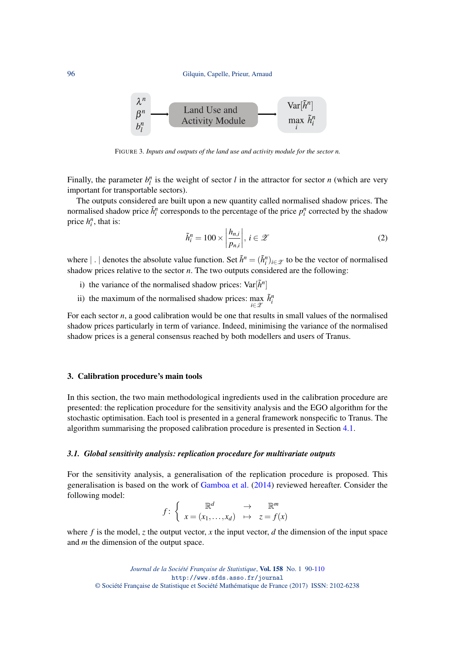

FIGURE 3*. Inputs and outputs of the land use and activity module for the sector n.*

Finally, the parameter  $b_l^n$  is the weight of sector *l* in the attractor for sector *n* (which are very important for transportable sectors).

The outputs considered are built upon a new quantity called normalised shadow prices. The normalised shadow price  $\tilde{h}_i^n$  corresponds to the percentage of the price  $p_i^n$  corrected by the shadow price  $h_i^n$ , that is:

<span id="page-6-3"></span><span id="page-6-1"></span>
$$
\tilde{h}_i^n = 100 \times \left| \frac{h_{n,i}}{p_{n,i}} \right|, \, i \in \mathcal{Z} \tag{2}
$$

where  $| \cdot |$  denotes the absolute value function. Set  $\tilde{h}^n = (\tilde{h}^n_i)_{i \in \mathcal{Z}}$  to be the vector of normalised shadow prices relative to the sector *n*. The two outputs considered are the following:

- i) the variance of the normalised shadow prices:  $Var[\tilde{h}^n]$
- ii) the maximum of the normalised shadow prices:  $\max_{i \in \mathcal{Z}} \tilde{h}_i^n$

For each sector *n*, a good calibration would be one that results in small values of the normalised shadow prices particularly in term of variance. Indeed, minimising the variance of the normalised shadow prices is a general consensus reached by both modellers and users of Tranus.

## <span id="page-6-0"></span>3. Calibration procedure's main tools

In this section, the two main methodological ingredients used in the calibration procedure are presented: the replication procedure for the sensitivity analysis and the EGO algorithm for the stochastic optimisation. Each tool is presented in a general framework nonspecific to Tranus. The algorithm summarising the proposed calibration procedure is presented in Section [4.1.](#page-10-1)

## <span id="page-6-2"></span>*3.1. Global sensitivity analysis: replication procedure for multivariate outputs*

For the sensitivity analysis, a generalisation of the replication procedure is proposed. This generalisation is based on the work of [Gamboa et al.](#page-18-12) [\(2014\)](#page-18-12) reviewed hereafter. Consider the following model:

$$
f: \left\{ \begin{array}{ccc} \mathbb{R}^d & \to & \mathbb{R}^m \\ x = (x_1, \dots, x_d) & \mapsto & z = f(x) \end{array} \right.
$$

where  $f$  is the model,  $z$  the output vector,  $x$  the input vector,  $d$  the dimension of the input space and *m* the dimension of the output space.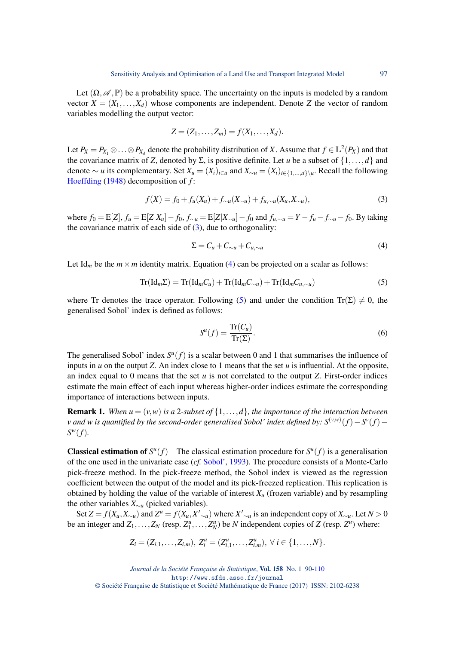Let  $(\Omega, \mathscr{A}, \mathbb{P})$  be a probability space. The uncertainty on the inputs is modeled by a random vector  $X = (X_1, \ldots, X_d)$  whose components are independent. Denote *Z* the vector of random variables modelling the output vector:

$$
Z=(Z_1,\ldots,Z_m)=f(X_1,\ldots,X_d).
$$

Let  $P_X = P_{X_1} \otimes \ldots \otimes P_{X_d}$  denote the probability distribution of *X*. Assume that  $f \in L^2(P_X)$  and that the covariance matrix of *Z*, denoted by  $\Sigma$ , is positive definite. Let *u* be a subset of  $\{1,\ldots,d\}$  and denote  $\sim u$  its complementary. Set  $X_u = (X_i)_{i \in u}$  and  $X_{\sim u} = (X_i)_{i \in \{1, ..., d\}}\backslash u$ . Recall the following [Hoeffding](#page-18-13) [\(1948\)](#page-18-13) decomposition of *f* :

<span id="page-7-0"></span>
$$
f(X) = f_0 + f_u(X_u) + f_{\sim u}(X_{\sim u}) + f_{u,\sim u}(X_u, X_{\sim u}),
$$
\n(3)

where  $f_0 = E[Z]$ ,  $f_u = E[Z|X_u] - f_0$ ,  $f_{\sim u} = E[Z|X_{\sim u}] - f_0$  and  $f_{u, \sim u} = Y - f_u - f_{\sim u} - f_0$ . By taking the covariance matrix of each side of  $(3)$ , due to orthogonality:

<span id="page-7-1"></span>
$$
\Sigma = C_u + C_{\sim u} + C_{u, \sim u} \tag{4}
$$

Let Id<sub>*m*</sub> be the  $m \times m$  identity matrix. Equation [\(4\)](#page-7-1) can be projected on a scalar as follows:

<span id="page-7-2"></span>
$$
Tr(\mathrm{Id}_{m}\Sigma) = Tr(\mathrm{Id}_{m}C_{u}) + Tr(\mathrm{Id}_{m}C_{\sim u}) + Tr(\mathrm{Id}_{m}C_{u,\sim u})
$$
\n(5)

where Tr denotes the trace operator. Following [\(5\)](#page-7-2) and under the condition  $Tr(\Sigma) \neq 0$ , the generalised Sobol' index is defined as follows:

$$
S^{u}(f) = \frac{\text{Tr}(C_{u})}{\text{Tr}(\Sigma)}.
$$
\n(6)

The generalised Sobol' index  $S^u(f)$  is a scalar between 0 and 1 that summarises the influence of inputs in  $u$  on the output  $Z$ . An index close to 1 means that the set  $u$  is influential. At the opposite, an index equal to 0 means that the set *u* is not correlated to the output *Z*. First-order indices estimate the main effect of each input whereas higher-order indices estimate the corresponding importance of interactions between inputs.

<span id="page-7-3"></span>**Remark 1.** When  $u = (v, w)$  is a 2-subset of  $\{1, \ldots, d\}$ , the importance of the interaction between *v and w is quantified by the second-order generalised Sobol' index defined by: S* (*v*,*w*) (*f*)−*S v* (*f*)− *S <sup>w</sup>*(*f*)*.*

**Classical estimation of**  $S^u(f)$  The classical estimation procedure for  $S^u(f)$  is a generalisation of the one used in the univariate case (*cf.* [Sobol',](#page-19-0) [1993\)](#page-19-0). The procedure consists of a Monte-Carlo pick-freeze method. In the pick-freeze method, the Sobol index is viewed as the regression coefficient between the output of the model and its pick-freezed replication. This replication is obtained by holding the value of the variable of interest  $X_u$  (frozen variable) and by resampling the other variables *X*∼*<sup>u</sup>* (picked variables).

Set  $Z = f(X_u, X_{\sim u})$  and  $Z^u = f(X_u, X'_{\sim u})$  where  $X'_{\sim u}$  is an independent copy of  $X_{\sim u}$ . Let  $N > 0$ be an integer and  $Z_1, \ldots, Z_N$  (resp.  $Z_1^u, \ldots, Z_N^u$ ) be *N* independent copies of *Z* (resp.  $Z^u$ ) where:

$$
Z_i = (Z_{i,1},\ldots,Z_{i,m}), Z_i^u = (Z_{i,1}^u,\ldots,Z_{i,m}^u), \ \forall \ i \in \{1,\ldots,N\}.
$$

*Journal de la Société Française de Statistique*, Vol. 158 No. 1 90[-110](#page-20-0) http://www.sfds.asso.fr/journal © Société Française de Statistique et Société Mathématique de France (2017) ISSN: 2102-6238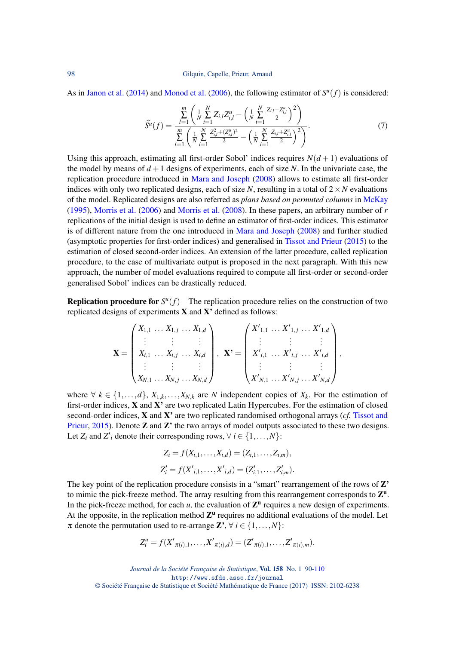As in [Janon et al.](#page-18-14) [\(2014\)](#page-18-14) and [Monod et al.](#page-18-15) [\(2006\)](#page-18-15), the following estimator of  $S^{u}(f)$  is considered:

<span id="page-8-0"></span>
$$
\widehat{S}^{u}(f) = \frac{\sum_{l=1}^{m} \left( \frac{1}{N} \sum_{i=1}^{N} Z_{i,l} Z_{i,l}^{u} - \left( \frac{1}{N} \sum_{i=1}^{N} \frac{Z_{i,l} + Z_{i,l}^{u}}{2} \right)^{2} \right)}{\sum_{l=1}^{m} \left( \frac{1}{N} \sum_{i=1}^{N} \frac{Z_{i,l}^{2} + (Z_{i,l}^{u})^{2}}{2} - \left( \frac{1}{N} \sum_{i=1}^{N} \frac{Z_{i,l} + Z_{i,l}^{u}}{2} \right)^{2} \right)}.
$$
\n(7)

Using this approach, estimating all first-order Sobol' indices requires  $N(d+1)$  evaluations of the model by means of  $d+1$  designs of experiments, each of size N. In the univariate case, the replication procedure introduced in [Mara and Joseph](#page-18-5) [\(2008\)](#page-18-5) allows to estimate all first-order indices with only two replicated designs, each of size N, resulting in a total of  $2 \times N$  evaluations of the model. Replicated designs are also referred as *plans based on permuted columns* in [McKay](#page-18-16) [\(1995\)](#page-18-16), [Morris et al.](#page-18-17) [\(2006\)](#page-18-17) and [Morris et al.](#page-18-18) [\(2008\)](#page-18-18). In these papers, an arbitrary number of *r* replications of the initial design is used to define an estimator of first-order indices. This estimator is of different nature from the one introduced in [Mara and Joseph](#page-18-5) [\(2008\)](#page-18-5) and further studied (asymptotic properties for first-order indices) and generalised in [Tissot and Prieur](#page-19-1) [\(2015\)](#page-19-1) to the estimation of closed second-order indices. An extension of the latter procedure, called replication procedure, to the case of multivariate output is proposed in the next paragraph. With this new approach, the number of model evaluations required to compute all first-order or second-order generalised Sobol' indices can be drastically reduced.

**Replication procedure for**  $S^u(f)$  The replication procedure relies on the construction of two replicated designs of experiments  $X$  and  $X'$  defined as follows:

$$
\mathbf{X} = \begin{pmatrix} X_{1,1} & \dots & X_{1,j} & \dots & X_{1,d} \\ \vdots & & \vdots & & \vdots \\ X_{i,1} & \dots & X_{i,j} & \dots & X_{i,d} \\ \vdots & & \vdots & & \vdots \\ X_{N,1} & \dots & X_{N,j} & \dots & X_{N,d} \end{pmatrix}, \quad \mathbf{X'} = \begin{pmatrix} X'_{1,1} & \dots & X'_{1,j} & \dots & X'_{1,d} \\ \vdots & & \vdots & & \vdots \\ X'_{i,1} & \dots & X'_{i,j} & \dots & X'_{i,d} \\ \vdots & & \vdots & & \vdots \\ X'_{N,1} & \dots & X'_{N,j} & \dots & X'_{N,d} \end{pmatrix},
$$

where  $\forall k \in \{1, \ldots, d\}, X_{1,k}, \ldots, X_{N,k}$  are *N* independent copies of  $X_k$ . For the estimation of first-order indices,  $X$  and  $X'$  are two replicated Latin Hypercubes. For the estimation of closed second-order indices, X and X' are two replicated randomised orthogonal arrays (*cf.* [Tissot and](#page-19-1) [Prieur,](#page-19-1) [2015\)](#page-19-1). Denote **Z** and **Z**' the two arrays of model outputs associated to these two designs. Let  $Z_i$  and  $Z'_i$  denote their corresponding rows,  $\forall i \in \{1, ..., N\}$ :

$$
Z_i = f(X_{i,1},\ldots,X_{i,d}) = (Z_{i,1},\ldots,Z_{i,m}),
$$
  
\n
$$
Z'_i = f(X'_{i,1},\ldots,X'_{i,d}) = (Z'_{i,1},\ldots,Z'_{i,m}).
$$

The key point of the replication procedure consists in a "smart" rearrangement of the rows of  $Z'$ to mimic the pick-freeze method. The array resulting from this rearrangement corresponds to  $\mathbf{Z}^{\mathbf{u}}$ . In the pick-freeze method, for each  $u$ , the evaluation of  $\mathbb{Z}^{\mathbf{u}}$  requires a new design of experiments. At the opposite, in the replication method  $Z<sup>u</sup>$  requires no additional evaluations of the model. Let  $\pi$  denote the permutation used to re-arrange  $\mathbb{Z}^3$ ,  $\forall i \in \{1, ..., N\}$ :

$$
Z_i^u = f(X'_{\pi(i),1},\ldots,X'_{\pi(i),d}) = (Z'_{\pi(i),1},\ldots,Z'_{\pi(i),m}).
$$

*Journal de la Société Française de Statistique*, Vol. 158 No. 1 90[-110](#page-20-0) http://www.sfds.asso.fr/journal © Société Française de Statistique et Société Mathématique de France (2017) ISSN: 2102-6238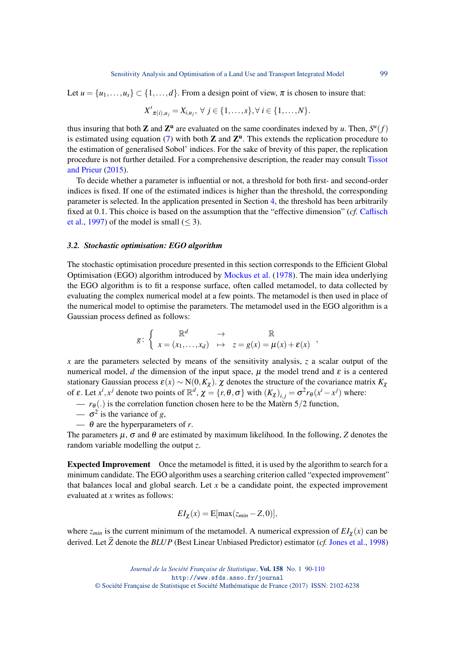Let  $u = \{u_1, \ldots, u_s\} \subset \{1, \ldots, d\}$ . From a design point of view,  $\pi$  is chosen to insure that:

$$
X'_{\pi(i),u_j}=X_{i,u_j}, \ \forall \ j \in \{1,\ldots,s\}, \forall \ i \in \{1,\ldots,N\}.
$$

thus insuring that both **Z** and  $\mathbb{Z}^{\mathbf{u}}$  are evaluated on the same coordinates indexed by *u*. Then,  $S^{u}(f)$ is estimated using equation [\(7\)](#page-8-0) with both  $Z$  and  $Z<sup>u</sup>$ . This extends the replication procedure to the estimation of generalised Sobol' indices. For the sake of brevity of this paper, the replication procedure is not further detailed. For a comprehensive description, the reader may consult [Tissot](#page-19-1) [and Prieur](#page-19-1) [\(2015\)](#page-19-1).

To decide whether a parameter is influential or not, a threshold for both first- and second-order indices is fixed. If one of the estimated indices is higher than the threshold, the corresponding parameter is selected. In the application presented in Section [4,](#page-10-0) the threshold has been arbitrarily fixed at 0.1. This choice is based on the assumption that the "effective dimension" (*cf.* [Caflisch](#page-18-19) [et al.,](#page-18-19) [1997\)](#page-18-19) of the model is small  $(< 3)$ .

#### <span id="page-9-0"></span>*3.2. Stochastic optimisation: EGO algorithm*

The stochastic optimisation procedure presented in this section corresponds to the Efficient Global Optimisation (EGO) algorithm introduced by [Mockus et al.](#page-18-20) [\(1978\)](#page-18-20). The main idea underlying the EGO algorithm is to fit a response surface, often called metamodel, to data collected by evaluating the complex numerical model at a few points. The metamodel is then used in place of the numerical model to optimise the parameters. The metamodel used in the EGO algorithm is a Gaussian process defined as follows:

$$
g\colon \left\{ \begin{array}{ccc} \mathbb{R}^d & \to & \mathbb{R} \\ x = (x_1,\ldots,x_d) & \mapsto & z = g(x) = \mu(x) + \varepsilon(x) \end{array} \right.,
$$

*x* are the parameters selected by means of the sensitivity analysis, *z* a scalar output of the numerical model, *d* the dimension of the input space,  $\mu$  the model trend and  $\varepsilon$  is a centered stationary Gaussian process  $\varepsilon(x) \sim N(0, K_{\chi})$ .  $\chi$  denotes the structure of the covariance matrix  $K_{\chi}$ of  $\varepsilon$ . Let  $x^i$ ,  $x^j$  denote two points of  $\mathbb{R}^d$ ,  $\chi = \{r, \theta, \sigma\}$  with  $(K_\chi)_{i,j} = \sigma^2 r_\theta (x^i - x^j)$  where:

- $r_{\theta}$ .) is the correlation function chosen here to be the Matern 5/2 function,
- $-\sigma^2$  is the variance of *g*,
- $\theta$  are the hyperparameters of *r*.

The parameters  $\mu$ ,  $\sigma$  and  $\theta$  are estimated by maximum likelihood. In the following, *Z* denotes the random variable modelling the output *z*.

Expected Improvement Once the metamodel is fitted, it is used by the algorithm to search for a minimum candidate. The EGO algorithm uses a searching criterion called "expected improvement" that balances local and global search. Let  $x$  be a candidate point, the expected improvement evaluated at *x* writes as follows:

$$
EI_{\chi}(x) = \mathbb{E}[\max(z_{min} - Z, 0)],
$$

where  $z_{min}$  is the current minimum of the metamodel. A numerical expression of  $EI_{\chi}(x)$  can be derived. Let  $\hat{Z}$  denote the *BLUP* (Best Linear Unbiased Predictor) estimator (*cf.* [Jones et al.,](#page-18-21) [1998\)](#page-18-21)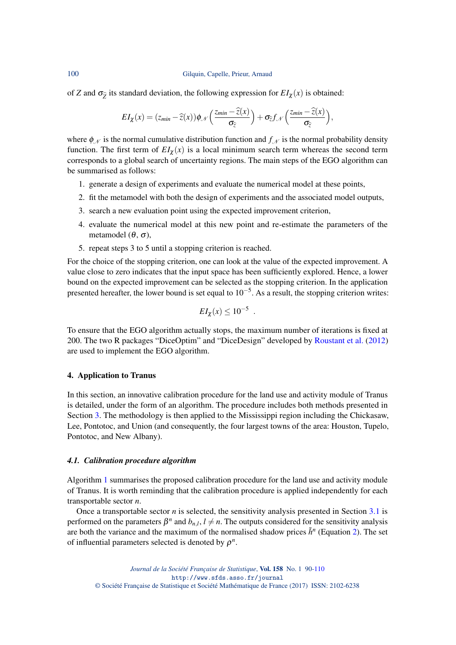100 Gilquin, Capelle, Prieur, Arnaud

of *Z* and  $\sigma_{\hat{z}}$  its standard deviation, the following expression for  $EI_{\chi}(x)$  is obtained:

$$
EI_{\chi}(x) = (z_{min} - \widehat{z}(x))\phi_{\mathcal{N}}\left(\frac{z_{min} - \widehat{z}(x)}{\sigma_{\widehat{z}}}\right) + \sigma_{\widehat{z}}f_{\mathcal{N}}\left(\frac{z_{min} - \widehat{z}(x)}{\sigma_{\widehat{z}}}\right),
$$

where  $\phi_N$  is the normal cumulative distribution function and  $f_N$  is the normal probability density function. The first term of  $EI_{\chi}(x)$  is a local minimum search term whereas the second term corresponds to a global search of uncertainty regions. The main steps of the EGO algorithm can be summarised as follows:

- 1. generate a design of experiments and evaluate the numerical model at these points,
- 2. fit the metamodel with both the design of experiments and the associated model outputs,
- 3. search a new evaluation point using the expected improvement criterion,
- 4. evaluate the numerical model at this new point and re-estimate the parameters of the metamodel ( $θ$ ,  $σ$ ),
- 5. repeat steps 3 to 5 until a stopping criterion is reached.

For the choice of the stopping criterion, one can look at the value of the expected improvement. A value close to zero indicates that the input space has been sufficiently explored. Hence, a lower bound on the expected improvement can be selected as the stopping criterion. In the application presented hereafter, the lower bound is set equal to  $10^{-5}$ . As a result, the stopping criterion writes:

$$
EI_{\chi}(x) \leq 10^{-5}.
$$

To ensure that the EGO algorithm actually stops, the maximum number of iterations is fixed at 200. The two R packages "DiceOptim" and "DiceDesign" developed by [Roustant et al.](#page-18-22) [\(2012\)](#page-18-22) are used to implement the EGO algorithm.

## <span id="page-10-0"></span>4. Application to Tranus

In this section, an innovative calibration procedure for the land use and activity module of Tranus is detailed, under the form of an algorithm. The procedure includes both methods presented in Section [3.](#page-6-0) The methodology is then applied to the Mississippi region including the Chickasaw, Lee, Pontotoc, and Union (and consequently, the four largest towns of the area: Houston, Tupelo, Pontotoc, and New Albany).

## <span id="page-10-1"></span>*4.1. Calibration procedure algorithm*

Algorithm [1](#page-11-0) summarises the proposed calibration procedure for the land use and activity module of Tranus. It is worth reminding that the calibration procedure is applied independently for each transportable sector *n*.

Once a transportable sector *n* is selected, the sensitivity analysis presented in Section [3.1](#page-6-2) is performed on the parameters  $\beta^n$  and  $b_{n,l}$ ,  $l \neq n$ . The outputs considered for the sensitivity analysis are both the variance and the maximum of the normalised shadow prices  $\tilde{h}^n$  (Equation [2\)](#page-6-3). The set of influential parameters selected is denoted by  $\rho^n$ .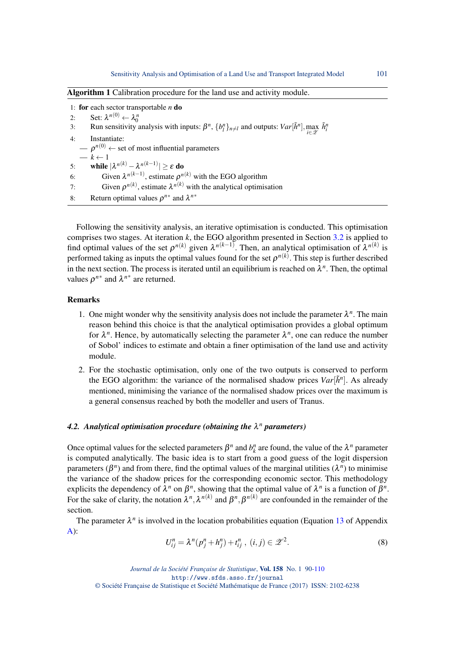| <b>Algorithm 1</b> Calibration procedure for the land use and activity module.                                                                            |
|-----------------------------------------------------------------------------------------------------------------------------------------------------------|
| 1: for each sector transportable $n \textbf{ do}$                                                                                                         |
| Set: $\lambda^{n(0)} \leftarrow \lambda_0^n$<br>2:                                                                                                        |
| Run sensitivity analysis with inputs: $\beta^n$ , $\{b_l^n\}_{n \neq l}$ and outputs: $Var[\tilde{h}^n]$ , $\max_{i \in \mathcal{X}} \tilde{h}_i^n$<br>3: |
| Instantiate:<br>4:                                                                                                                                        |
| $\theta$ – $\rho^{n(0)}$ $\leftarrow$ set of most influential parameters                                                                                  |
| $-k \leftarrow 1$                                                                                                                                         |
| while $ \lambda^{n(k)} - \lambda^{n(k-1)}  \ge \varepsilon$ do<br>5:                                                                                      |
| Given $\lambda^{n(k-1)}$ , estimate $\rho^{n(k)}$ with the EGO algorithm<br>6:                                                                            |
| Given $\rho^{n(k)}$ , estimate $\lambda^{n(k)}$ with the analytical optimisation<br>7:                                                                    |
| Return optimal values $\rho^{n*}$ and $\lambda^{n*}$<br>8:                                                                                                |

<span id="page-11-0"></span>Following the sensitivity analysis, an iterative optimisation is conducted. This optimisation comprises two stages. At iteration *k*, the EGO algorithm presented in Section [3.2](#page-9-0) is applied to find optimal values of the set  $\rho^{n(k)}$  given  $\lambda^{n(k-1)}$ . Then, an analytical optimisation of  $\lambda^{n(k)}$  is performed taking as inputs the optimal values found for the set  $\rho^{n(k)}$ . This step is further described in the next section. The process is iterated until an equilibrium is reached on  $\lambda^n$ . Then, the optimal values  $\rho^{n*}$  and  $\lambda^{n*}$  are returned.

## Remarks

- 1. One might wonder why the sensitivity analysis does not include the parameter  $\lambda^n$ . The main reason behind this choice is that the analytical optimisation provides a global optimum for  $\lambda^n$ . Hence, by automatically selecting the parameter  $\lambda^n$ , one can reduce the number of Sobol' indices to estimate and obtain a finer optimisation of the land use and activity module.
- 2. For the stochastic optimisation, only one of the two outputs is conserved to perform the EGO algorithm: the variance of the normalised shadow prices  $Var[\tilde{h}^n]$ . As already mentioned, minimising the variance of the normalised shadow prices over the maximum is a general consensus reached by both the modeller and users of Tranus.

## *4.2. Analytical optimisation procedure (obtaining the* λ *<sup>n</sup> parameters)*

Once optimal values for the selected parameters  $\beta^n$  and  $b_k^n$  are found, the value of the  $\lambda^n$  parameter is computed analytically. The basic idea is to start from a good guess of the logit dispersion parameters ( $\beta^n$ ) and from there, find the optimal values of the marginal utilities ( $\lambda^n$ ) to minimise the variance of the shadow prices for the corresponding economic sector. This methodology explicits the dependency of  $\lambda^n$  on  $\beta^n$ , showing that the optimal value of  $\lambda^n$  is a function of  $\beta^n$ . For the sake of clarity, the notation  $\lambda^n, \lambda^{n(k)}$  and  $\beta^n, \beta^{n(k)}$  are confounded in the remainder of the section.

The parameter  $\lambda^n$  is involved in the location probabilities equation (Equation [13](#page-20-1) of Appendix  $A)$ :

<span id="page-11-1"></span>
$$
U_{ij}^n = \lambda^n (p_j^n + h_j^n) + t_{ij}^n, (i, j) \in \mathcal{Z}^2.
$$
 (8)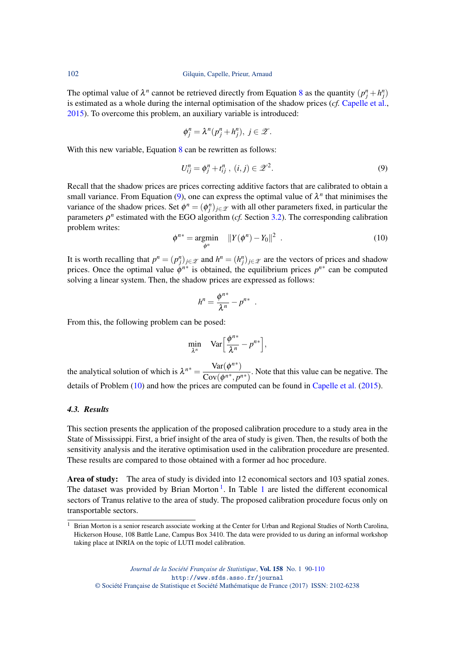The optimal value of  $\lambda^n$  cannot be retrieved directly from Equation [8](#page-11-1) as the quantity  $(p_j^n + h_j^n)$ is estimated as a whole during the internal optimisation of the shadow prices (*cf.* [Capelle et al.,](#page-18-6) [2015\)](#page-18-6). To overcome this problem, an auxiliary variable is introduced:

$$
\phi_j^n = \lambda^n (p_j^n + h_j^n), \ j \in \mathcal{Z}.
$$

With this new variable, Equation [8](#page-11-1) can be rewritten as follows:

<span id="page-12-0"></span>
$$
U_{ij}^n = \phi_j^n + t_{ij}^n, \ (i, j) \in \mathcal{Z}^2. \tag{9}
$$

Recall that the shadow prices are prices correcting additive factors that are calibrated to obtain a small variance. From Equation [\(9\)](#page-12-0), one can express the optimal value of  $\lambda^n$  that minimises the variance of the shadow prices. Set  $\phi^n = (\phi_j^n)_{j \in \mathcal{Z}}$  with all other parameters fixed, in particular the parameters  $\rho^n$  estimated with the EGO algorithm (*cf.* Section [3.2\)](#page-9-0). The corresponding calibration problem writes:

<span id="page-12-1"></span>
$$
\phi^{n*} = \underset{\phi^n}{\text{argmin}} \quad ||Y(\phi^n) - Y_0||^2 \quad . \tag{10}
$$

It is worth recalling that  $p^n = (p_j^n)_{j \in \mathcal{Z}}$  and  $h^n = (h_j^n)_{j \in \mathcal{Z}}$  are the vectors of prices and shadow prices. Once the optimal value  $\phi^{n*}$  is obtained, the equilibrium prices  $p^{n*}$  can be computed solving a linear system. Then, the shadow prices are expressed as follows:

$$
h^n = \frac{\phi^{n*}}{\lambda^n} - p^{n*}
$$

.

From this, the following problem can be posed:

$$
\min_{\lambda^n} \quad \text{Var}\Big[\frac{\phi^{n*}}{\lambda^n} - p^{n*}\Big],
$$

the analytical solution of which is  $\lambda^{n*} = \frac{\text{Var}(\phi^{n*})}{\text{Cov}(\phi^{n*}-n)}$  $\frac{\partial u}{\partial \alpha}(\phi^{n*}, p^{n*})$ . Note that this value can be negative. The details of Problem [\(10\)](#page-12-1) and how the prices are computed can be found in [Capelle et al.](#page-18-6) [\(2015\)](#page-18-6).

## *4.3. Results*

This section presents the application of the proposed calibration procedure to a study area in the State of Mississippi. First, a brief insight of the area of study is given. Then, the results of both the sensitivity analysis and the iterative optimisation used in the calibration procedure are presented. These results are compared to those obtained with a former ad hoc procedure.

Area of study: The area of study is divided into 12 economical sectors and 103 spatial zones. The dataset was provided by Brian Morton<sup>[1](#page-13-0)</sup>. In Table 1 are listed the different economical sectors of Tranus relative to the area of study. The proposed calibration procedure focus only on transportable sectors.

<span id="page-12-2"></span><sup>&</sup>lt;sup>1</sup> Brian Morton is a senior research associate working at the Center for Urban and Regional Studies of North Carolina, Hickerson House, 108 Battle Lane, Campus Box 3410. The data were provided to us during an informal workshop taking place at INRIA on the topic of LUTI model calibration.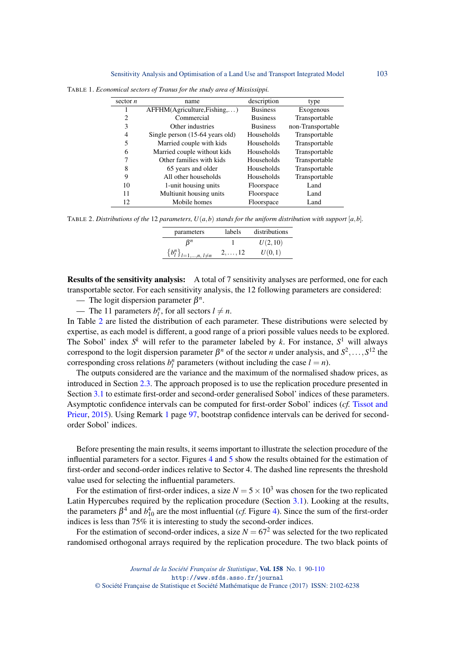| sector $n$     | name                            | description     | type              |
|----------------|---------------------------------|-----------------|-------------------|
| 1              | AFFHM(Agriculture,Fishing,)     | <b>Business</b> | Exogenous         |
| $\overline{2}$ | Commercial                      | <b>Business</b> | Transportable     |
| 3              | Other industries                | <b>Business</b> | non-Transportable |
| 4              | Single person (15-64 years old) | Households      | Transportable     |
| 5              | Married couple with kids        | Households      | Transportable     |
| 6              | Married couple without kids     | Households      | Transportable     |
| 7              | Other families with kids        | Households      | Transportable     |
| 8              | 65 years and older              | Households      | Transportable     |
| 9              | All other households            | Households      | Transportable     |
| 10             | 1-unit housing units            | Floorspace      | Land              |
| 11             | Multiunit housing units         | Floorspace      | Land              |
| 12             | Mobile homes                    | Floorspace      | Land              |

<span id="page-13-0"></span>TABLE 1. *Economical sectors of Tranus for the study area of Mississippi.*

<span id="page-13-1"></span>TABLE 2. Distributions of the 12 parameters,  $U(a, b)$  stands for the uniform distribution with support  $[a, b]$ .

| parameters                        | labels          | distributions |
|-----------------------------------|-----------------|---------------|
| Ŗп                                |                 | U(2,10)       |
| ${b_l^n}_{l=1,\dots,n, l \neq n}$ | $2, \ldots, 12$ | U(0,1)        |

Results of the sensitivity analysis: A total of 7 sensitivity analyses are performed, one for each transportable sector. For each sensitivity analysis, the 12 following parameters are considered:

 $\longrightarrow$  The logit dispersion parameter  $\beta^n$ .

 $\blacksquare$  The 11 parameters  $b_l^n$ , for all sectors  $l \neq n$ .

In Table [2](#page-13-1) are listed the distribution of each parameter. These distributions were selected by expertise, as each model is different, a good range of a priori possible values needs to be explored. The Sobol' index  $S^k$  will refer to the parameter labeled by  $k$ . For instance,  $S^1$  will always correspond to the logit dispersion parameter  $\beta^n$  of the sector *n* under analysis, and  $S^2, \ldots, S^{12}$  the corresponding cross relations  $b_l^n$  parameters (without including the case  $l = n$ ).

The outputs considered are the variance and the maximum of the normalised shadow prices, as introduced in Section [2.3.](#page-5-0) The approach proposed is to use the replication procedure presented in Section [3.1](#page-6-2) to estimate first-order and second-order generalised Sobol' indices of these parameters. Asymptotic confidence intervals can be computed for first-order Sobol' indices (*cf.* [Tissot and](#page-19-1) [Prieur,](#page-19-1) [2015\)](#page-19-1). Using Remark [1](#page-7-3) page [97,](#page-7-3) bootstrap confidence intervals can be derived for secondorder Sobol' indices.

Before presenting the main results, it seems important to illustrate the selection procedure of the influential parameters for a sector. Figures [4](#page-14-0) and [5](#page-14-1) show the results obtained for the estimation of first-order and second-order indices relative to Sector 4. The dashed line represents the threshold value used for selecting the influential parameters.

For the estimation of first-order indices, a size  $N = 5 \times 10^3$  was chosen for the two replicated Latin Hypercubes required by the replication procedure (Section [3.1\)](#page-6-2). Looking at the results, the parameters  $\beta^4$  and  $b_{10}^4$  are the most influential (*cf.* Figure [4\)](#page-14-0). Since the sum of the first-order indices is less than 75% it is interesting to study the second-order indices.

For the estimation of second-order indices, a size  $N = 67<sup>2</sup>$  was selected for the two replicated randomised orthogonal arrays required by the replication procedure. The two black points of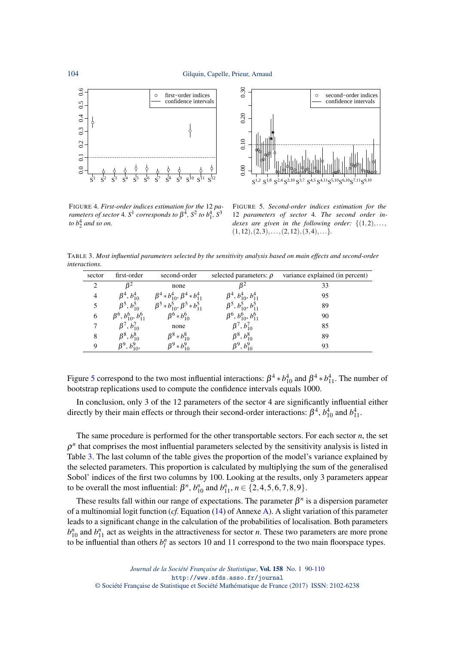



<span id="page-14-0"></span>FIGURE 4*. First-order indices estimation for the* 12 *parameters of sector* 4.  $S^1$  *corresponds to*  $\beta^4$ *,*  $S^2$  *to*  $b_1^4$ *,*  $S^3$ to  $b_2^4$  and so on.

<span id="page-14-1"></span>FIGURE 5*. Second-order indices estimation for the* 12 *parameters of sector* 4*. The second order indexes are given in the following order:* {(1,2),...,  $(1,12), (2,3), \ldots, (2,12), (3,4), \ldots$ }

<span id="page-14-2"></span>TABLE 3. *Most influential parameters selected by the sensitivity analysis based on main effects and second-order interactions.*

| sector                      | first-order                         | second-order                                                 | selected parameters: $\rho$         | variance explained (in percent) |
|-----------------------------|-------------------------------------|--------------------------------------------------------------|-------------------------------------|---------------------------------|
| $\mathcal{D}_{\mathcal{L}}$ | $B^2$                               | none                                                         | $B^2$                               | 33                              |
| $\overline{4}$              | $\beta^4, b_{10}^4$                 | $\beta^4 * b_{10}^4$ , $\beta^4 * b_{11}^4$                  | $\beta^4$ , $b_{10}^4$ , $b_{11}^4$ | 95                              |
|                             |                                     | $\beta^5, b_{10}^5$ $\beta^5 * b_{10}^5, \beta^5 * b_{11}^5$ | $\beta^5, b_{10}^5, b_{11}^5$       | 89                              |
| 6                           | $\beta^6$ , $b_{10}^6$ , $b_{11}^6$ | $\beta^6 * b_{10}^6$                                         | $\beta^6$ , $b_{10}^6$ , $b_{11}^6$ | 90                              |
|                             | $\beta^7, b_{10}^7$                 | none                                                         | $\beta^7, b_{10}^7$                 | 85                              |
| 8                           | $\beta^8, b_{10}^8$                 | $\beta^8 * b_{10}^8$                                         | $\beta^8, b_{10}^8$                 | 89                              |
| 9                           | $\beta^9, b_{10}^9,$                | $\beta^9 * b_{10}^9$                                         | $\beta^9$ , $b_{10}^9$              | 93                              |

Figure [5](#page-14-1) correspond to the two most influential interactions:  $\beta^4 * b_{10}^4$  and  $\beta^4 * b_{11}^4$ . The number of bootstrap replications used to compute the confidence intervals equals 1000.

In conclusion, only 3 of the 12 parameters of the sector 4 are significantly influential either directly by their main effects or through their second-order interactions:  $\beta^4$ ,  $b_{10}^4$  and  $b_{11}^4$ .

The same procedure is performed for the other transportable sectors. For each sector *n*, the set  $\rho$ <sup>n</sup> that comprises the most influential parameters selected by the sensitivity analysis is listed in Table [3.](#page-14-2) The last column of the table gives the proportion of the model's variance explained by the selected parameters. This proportion is calculated by multiplying the sum of the generalised Sobol' indices of the first two columns by 100. Looking at the results, only 3 parameters appear to be overall the most influential:  $\beta^n$ ,  $b_{10}^n$  and  $b_{11}^n$ ,  $n \in \{2, 4, 5, 6, 7, 8, 9\}$ .

These results fall within our range of expectations. The parameter  $\beta^n$  is a dispersion parameter of a multinomial logit function (*cf.* Equation [\(14\)](#page-20-3) of Annexe [A\)](#page-20-2). A slight variation of this parameter leads to a significant change in the calculation of the probabilities of localisation. Both parameters  $b_{10}^n$  and  $b_{11}^n$  act as weights in the attractiveness for sector *n*. These two parameters are more prone to be influential than others  $b_l^n$  as sectors 10 and 11 correspond to the two main floorspace types.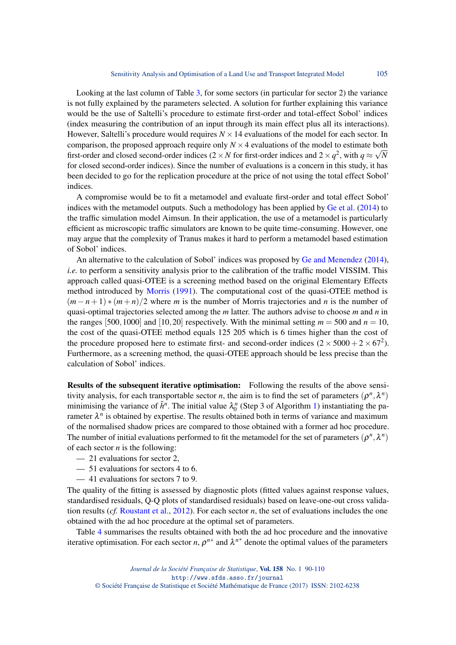Looking at the last column of Table [3,](#page-14-2) for some sectors (in particular for sector 2) the variance is not fully explained by the parameters selected. A solution for further explaining this variance would be the use of Saltelli's procedure to estimate first-order and total-effect Sobol' indices (index measuring the contribution of an input through its main effect plus all its interactions). However, Saltelli's procedure would requires  $N \times 14$  evaluations of the model for each sector. In comparison, the proposed approach require only  $N \times 4$  evaluations of the model to estimate both first-order and closed second-order indices (2 × *N* for first-order indices and 2 ×  $q^2$ , with  $q \approx \sqrt{N}$ for closed second-order indices). Since the number of evaluations is a concern in this study, it has been decided to go for the replication procedure at the price of not using the total effect Sobol' indices.

A compromise would be to fit a metamodel and evaluate first-order and total effect Sobol' indices with the metamodel outputs. Such a methodology has been applied by [Ge et al.](#page-18-23) [\(2014\)](#page-18-23) to the traffic simulation model Aimsun. In their application, the use of a metamodel is particularly efficient as microscopic traffic simulators are known to be quite time-consuming. However, one may argue that the complexity of Tranus makes it hard to perform a metamodel based estimation of Sobol' indices.

An alternative to the calculation of Sobol' indices was proposed by [Ge and Menendez](#page-18-24) [\(2014\)](#page-18-24), *i.e.* to perform a sensitivity analysis prior to the calibration of the traffic model VISSIM. This approach called quasi-OTEE is a screening method based on the original Elementary Effects method introduced by [Morris](#page-18-25) [\(1991\)](#page-18-25). The computational cost of the quasi-OTEE method is (*m* − *n* + 1) ∗ (*m* + *n*)/2 where *m* is the number of Morris trajectories and *n* is the number of quasi-optimal trajectories selected among the *m* latter. The authors advise to choose *m* and *n* in the ranges [500,1000] and [10,20] respectively. With the minimal setting  $m = 500$  and  $n = 10$ , the cost of the quasi-OTEE method equals 125 205 which is 6 times higher than the cost of the procedure proposed here to estimate first- and second-order indices  $(2 \times 5000 + 2 \times 67^2)$ . Furthermore, as a screening method, the quasi-OTEE approach should be less precise than the calculation of Sobol' indices.

Results of the subsequent iterative optimisation: Following the results of the above sensitivity analysis, for each transportable sector *n*, the aim is to find the set of parameters  $(\rho^n, \lambda^n)$ minimising the variance of  $\tilde{h}^n$ . The initial value  $\lambda_0^n$  (Step 3 of Algorithm [1\)](#page-11-0) instantiating the parameter  $\lambda^n$  is obtained by expertise. The results obtained both in terms of variance and maximum of the normalised shadow prices are compared to those obtained with a former ad hoc procedure. The number of initial evaluations performed to fit the metamodel for the set of parameters  $(\rho^n, \lambda^n)$ of each sector *n* is the following:

- 21 evaluations for sector 2,
- 51 evaluations for sectors 4 to 6.
- 41 evaluations for sectors 7 to 9.

The quality of the fitting is assessed by diagnostic plots (fitted values against response values, standardised residuals, Q-Q plots of standardised residuals) based on leave-one-out cross validation results (*cf.* [Roustant et al.,](#page-18-22) [2012\)](#page-18-22). For each sector *n*, the set of evaluations includes the one obtained with the ad hoc procedure at the optimal set of parameters.

Table [4](#page-16-0) summarises the results obtained with both the ad hoc procedure and the innovative iterative optimisation. For each sector *n*,  $\rho^{n*}$  and  $\lambda^{n*}$  denote the optimal values of the parameters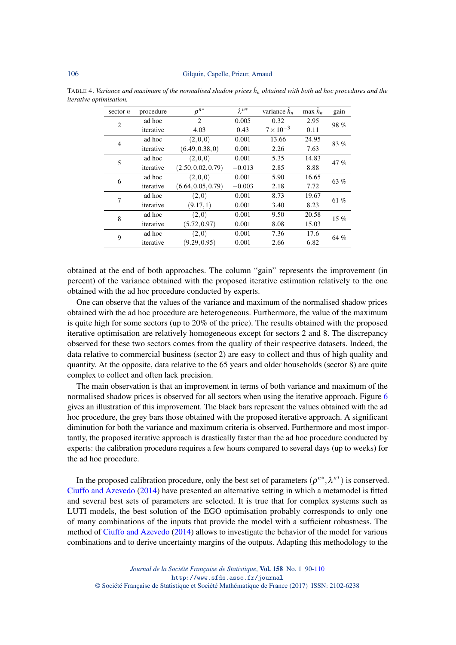| sector $n$     | procedure | $\rho^{n*}$        | $\lambda^{n*}$ | variance $\tilde{h}_n$ | max $\tilde{h}_n$ | gain   |
|----------------|-----------|--------------------|----------------|------------------------|-------------------|--------|
| $\overline{2}$ | ad hoc    | $\overline{2}$     | 0.005          | 0.32                   | 2.95              | 98%    |
|                | iterative | 4.03               | 0.43           | $7 \times 10^{-3}$     | 0.11              |        |
| 4              | ad hoc    | (2,0,0)            | 0.001          | 13.66                  | 24.95             | 83 %   |
|                | iterative | (6.49, 0.38, 0)    | 0.001          | 2.26                   | 7.63              |        |
| 5              | ad hoc    | (2,0,0)            | 0.001          | 5.35                   | 14.83             | 47%    |
|                | iterative | (2.50, 0.02, 0.79) | $-0.013$       | 2.85                   | 8.88              |        |
| 6              | ad hoc    | (2,0,0)            | 0.001          | 5.90                   | 16.65             | 63 %   |
|                | iterative | (6.64, 0.05, 0.79) | $-0.003$       | 2.18                   | 7.72              |        |
| 7              | ad hoc    | (2,0)              | 0.001          | 8.73                   | 19.67             | 61 %   |
|                | iterative | (9.17, 1)          | 0.001          | 3.40                   | 8.23              |        |
| 8              | ad hoc    | (2,0)              | 0.001          | 9.50                   | 20.58             | $15\%$ |
|                | iterative | (5.72, 0.97)       | 0.001          | 8.08                   | 15.03             |        |
| 9              | ad hoc    | (2,0)              | 0.001          | 7.36                   | 17.6              | 64 %   |
|                | iterative | (9.29, 0.95)       | 0.001          | 2.66                   | 6.82              |        |

<span id="page-16-0"></span>TABLE 4. *Variance and maximum of the normalised shadow prices*  $\tilde{h}_n$  *obtained with both ad hoc procedures and the iterative optimisation.*

obtained at the end of both approaches. The column "gain" represents the improvement (in percent) of the variance obtained with the proposed iterative estimation relatively to the one obtained with the ad hoc procedure conducted by experts.

One can observe that the values of the variance and maximum of the normalised shadow prices obtained with the ad hoc procedure are heterogeneous. Furthermore, the value of the maximum is quite high for some sectors (up to 20% of the price). The results obtained with the proposed iterative optimisation are relatively homogeneous except for sectors 2 and 8. The discrepancy observed for these two sectors comes from the quality of their respective datasets. Indeed, the data relative to commercial business (sector 2) are easy to collect and thus of high quality and quantity. At the opposite, data relative to the 65 years and older households (sector 8) are quite complex to collect and often lack precision.

The main observation is that an improvement in terms of both variance and maximum of the normalised shadow prices is observed for all sectors when using the iterative approach. Figure [6](#page-17-0) gives an illustration of this improvement. The black bars represent the values obtained with the ad hoc procedure, the grey bars those obtained with the proposed iterative approach. A significant diminution for both the variance and maximum criteria is observed. Furthermore and most importantly, the proposed iterative approach is drastically faster than the ad hoc procedure conducted by experts: the calibration procedure requires a few hours compared to several days (up to weeks) for the ad hoc procedure.

In the proposed calibration procedure, only the best set of parameters  $(\rho^{n*}, \lambda^{n*})$  is conserved. [Ciuffo and Azevedo](#page-18-26) [\(2014\)](#page-18-26) have presented an alternative setting in which a metamodel is fitted and several best sets of parameters are selected. It is true that for complex systems such as LUTI models, the best solution of the EGO optimisation probably corresponds to only one of many combinations of the inputs that provide the model with a sufficient robustness. The method of [Ciuffo and Azevedo](#page-18-26) [\(2014\)](#page-18-26) allows to investigate the behavior of the model for various combinations and to derive uncertainty margins of the outputs. Adapting this methodology to the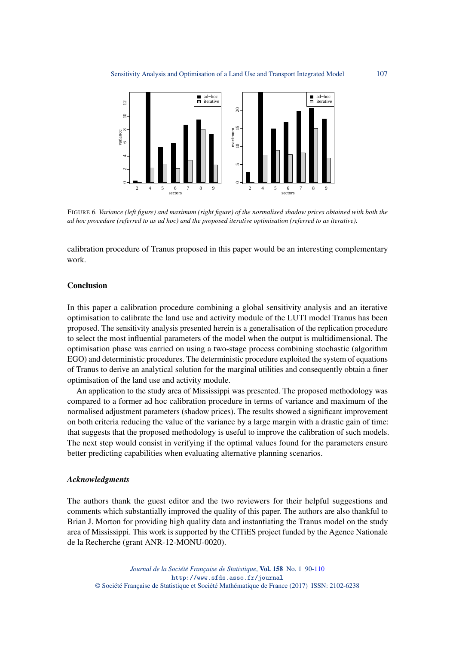<span id="page-17-0"></span>

FIGURE 6*. Variance (left figure) and maximum (right figure) of the normalised shadow prices obtained with both the ad hoc procedure (referred to as ad hoc) and the proposed iterative optimisation (referred to as iterative).*

calibration procedure of Tranus proposed in this paper would be an interesting complementary work.

## Conclusion

In this paper a calibration procedure combining a global sensitivity analysis and an iterative optimisation to calibrate the land use and activity module of the LUTI model Tranus has been proposed. The sensitivity analysis presented herein is a generalisation of the replication procedure to select the most influential parameters of the model when the output is multidimensional. The optimisation phase was carried on using a two-stage process combining stochastic (algorithm EGO) and deterministic procedures. The deterministic procedure exploited the system of equations of Tranus to derive an analytical solution for the marginal utilities and consequently obtain a finer optimisation of the land use and activity module.

An application to the study area of Mississippi was presented. The proposed methodology was compared to a former ad hoc calibration procedure in terms of variance and maximum of the normalised adjustment parameters (shadow prices). The results showed a significant improvement on both criteria reducing the value of the variance by a large margin with a drastic gain of time: that suggests that the proposed methodology is useful to improve the calibration of such models. The next step would consist in verifying if the optimal values found for the parameters ensure better predicting capabilities when evaluating alternative planning scenarios.

#### *Acknowledgments*

The authors thank the guest editor and the two reviewers for their helpful suggestions and comments which substantially improved the quality of this paper. The authors are also thankful to Brian J. Morton for providing high quality data and instantiating the Tranus model on the study area of Mississippi. This work is supported by the CITiES project funded by the Agence Nationale de la Recherche (grant ANR-12-MONU-0020).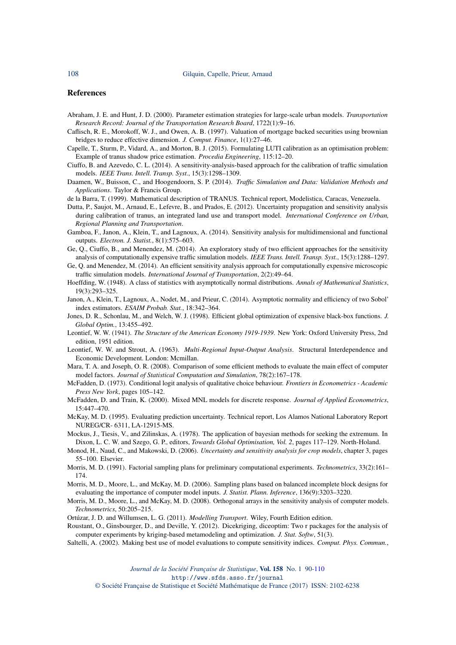#### **References**

- <span id="page-18-1"></span>Abraham, J. E. and Hunt, J. D. (2000). Parameter estimation strategies for large-scale urban models. *Transportation Research Record: Journal of the Transportation Research Board*, 1722(1):9–16.
- <span id="page-18-19"></span>Caflisch, R. E., Morokoff, W. J., and Owen, A. B. (1997). Valuation of mortgage backed securities using brownian bridges to reduce effective dimension. *J. Comput. Finance*, 1(1):27–46.
- <span id="page-18-6"></span>Capelle, T., Sturm, P., Vidard, A., and Morton, B. J. (2015). Formulating LUTI calibration as an optimisation problem: Example of tranus shadow price estimation. *Procedia Engineering*, 115:12–20.
- <span id="page-18-26"></span>Ciuffo, B. and Azevedo, C. L. (2014). A sensitivity-analysis-based approach for the calibration of traffic simulation models. *IEEE Trans. Intell. Transp. Syst.*, 15(3):1298–1309.
- <span id="page-18-2"></span>Daamen, W., Buisson, C., and Hoogendoorn, S. P. (2014). *Traffic Simulation and Data: Validation Methods and Applications*. Taylor & Francis Group.
- <span id="page-18-0"></span>de la Barra, T. (1999). Mathematical description of TRANUS. Technical report, Modelistica, Caracas, Venezuela.
- <span id="page-18-4"></span>Dutta, P., Saujot, M., Arnaud, E., Lefevre, B., and Prados, E. (2012). Uncertainty propagation and sensitivity analysis during calibration of tranus, an integrated land use and transport model. *International Conference on Urban, Regional Planning and Transportation*.
- <span id="page-18-12"></span>Gamboa, F., Janon, A., Klein, T., and Lagnoux, A. (2014). Sensitivity analysis for multidimensional and functional outputs. *Electron. J. Statist.*, 8(1):575–603.
- <span id="page-18-23"></span>Ge, Q., Ciuffo, B., and Menendez, M. (2014). An exploratory study of two efficient approaches for the sensitivity analysis of computationally expensive traffic simulation models. *IEEE Trans. Intell. Transp. Syst.*, 15(3):1288–1297.
- <span id="page-18-24"></span>Ge, Q. and Menendez, M. (2014). An efficient sensitivity analysis approach for computationally expensive microscopic traffic simulation models. *International Journal of Transportation*, 2(2):49–64.
- <span id="page-18-13"></span>Hoeffding, W. (1948). A class of statistics with asymptotically normal distributions. *Annals of Mathematical Statistics*, 19(3):293–325.
- <span id="page-18-14"></span>Janon, A., Klein, T., Lagnoux, A., Nodet, M., and Prieur, C. (2014). Asymptotic normality and efficiency of two Sobol' index estimators. *ESAIM Probab. Stat.*, 18:342–364.
- <span id="page-18-21"></span>Jones, D. R., Schonlau, M., and Welch, W. J. (1998). Efficient global optimization of expensive black-box functions. *J. Global Optim.*, 13:455–492.
- <span id="page-18-10"></span>Leontief, W. W. (1941). *The Structure of the American Economy 1919-1939*. New York: Oxford University Press, 2nd edition, 1951 edition.
- <span id="page-18-7"></span>Leontief, W. W. and Strout, A. (1963). *Multi-Regional Input-Output Analysis*. Structural Interdependence and Economic Development. London: Mcmillan.
- <span id="page-18-5"></span>Mara, T. A. and Joseph, O. R. (2008). Comparison of some efficient methods to evaluate the main effect of computer model factors. *Journal of Statistical Computation and Simulation*, 78(2):167–178.
- <span id="page-18-8"></span>McFadden, D. (1973). Conditional logit analysis of qualitative choice behaviour. *Frontiers in Econometrics - Academic Press New York*, pages 105–142.
- <span id="page-18-9"></span>McFadden, D. and Train, K. (2000). Mixed MNL models for discrete response. *Journal of Applied Econometrics*, 15:447–470.
- <span id="page-18-16"></span>McKay, M. D. (1995). Evaluating prediction uncertainty. Technical report, Los Alamos National Laboratory Report NUREG/CR- 6311, LA-12915-MS.
- <span id="page-18-20"></span>Mockus, J., Tiesis, V., and Zilinskas, A. (1978). The application of bayesian methods for seeking the extremum. In Dixon, L. C. W. and Szego, G. P., editors, *Towards Global Optimisation, Vol. 2*, pages 117–129. North-Holand.
- <span id="page-18-15"></span>Monod, H., Naud, C., and Makowski, D. (2006). *Uncertainty and sensitivity analysis for crop models*, chapter 3, pages 55–100. Elsevier.
- <span id="page-18-25"></span>Morris, M. D. (1991). Factorial sampling plans for preliminary computational experiments. *Technometrics*, 33(2):161– 174.
- <span id="page-18-17"></span>Morris, M. D., Moore, L., and McKay, M. D. (2006). Sampling plans based on balanced incomplete block designs for evaluating the importance of computer model inputs. *J. Statist. Plann. Inference*, 136(9):3203–3220.
- <span id="page-18-18"></span>Morris, M. D., Moore, L., and McKay, M. D. (2008). Orthogonal arrays in the sensitivity analysis of computer models. *Technometrics*, 50:205–215.
- <span id="page-18-11"></span>Ortúzar, J. D. and Willumsen, L. G. (2011). *Modelling Transport*. Wiley, Fourth Edition edition.
- <span id="page-18-22"></span>Roustant, O., Ginsbourger, D., and Deville, Y. (2012). Dicekriging, diceoptim: Two r packages for the analysis of computer experiments by kriging-based metamodeling and optimization. *J. Stat. Softw*, 51(3).
- <span id="page-18-3"></span>Saltelli, A. (2002). Making best use of model evaluations to compute sensitivity indices. *Comput. Phys. Commun.*,

*Journal de la Société Française de Statistique*, Vol. 158 No. 1 90[-110](#page-20-0) http://www.sfds.asso.fr/journal

© Société Française de Statistique et Société Mathématique de France (2017) ISSN: 2102-6238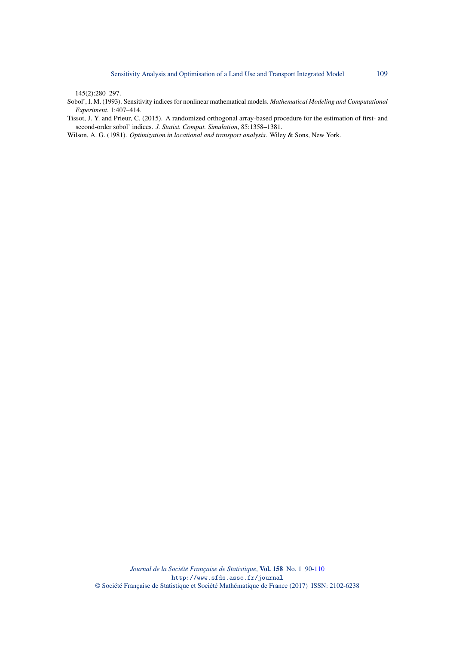145(2):280–297.

- <span id="page-19-0"></span>Sobol', I. M. (1993). Sensitivity indices for nonlinear mathematical models. *Mathematical Modeling and Computational Experiment*, 1:407–414.
- <span id="page-19-1"></span>Tissot, J. Y. and Prieur, C. (2015). A randomized orthogonal array-based procedure for the estimation of first- and second-order sobol' indices. *J. Statist. Comput. Simulation*, 85:1358–1381.
- <span id="page-19-2"></span>Wilson, A. G. (1981). *Optimization in locational and transport analysis*. Wiley & Sons, New York.